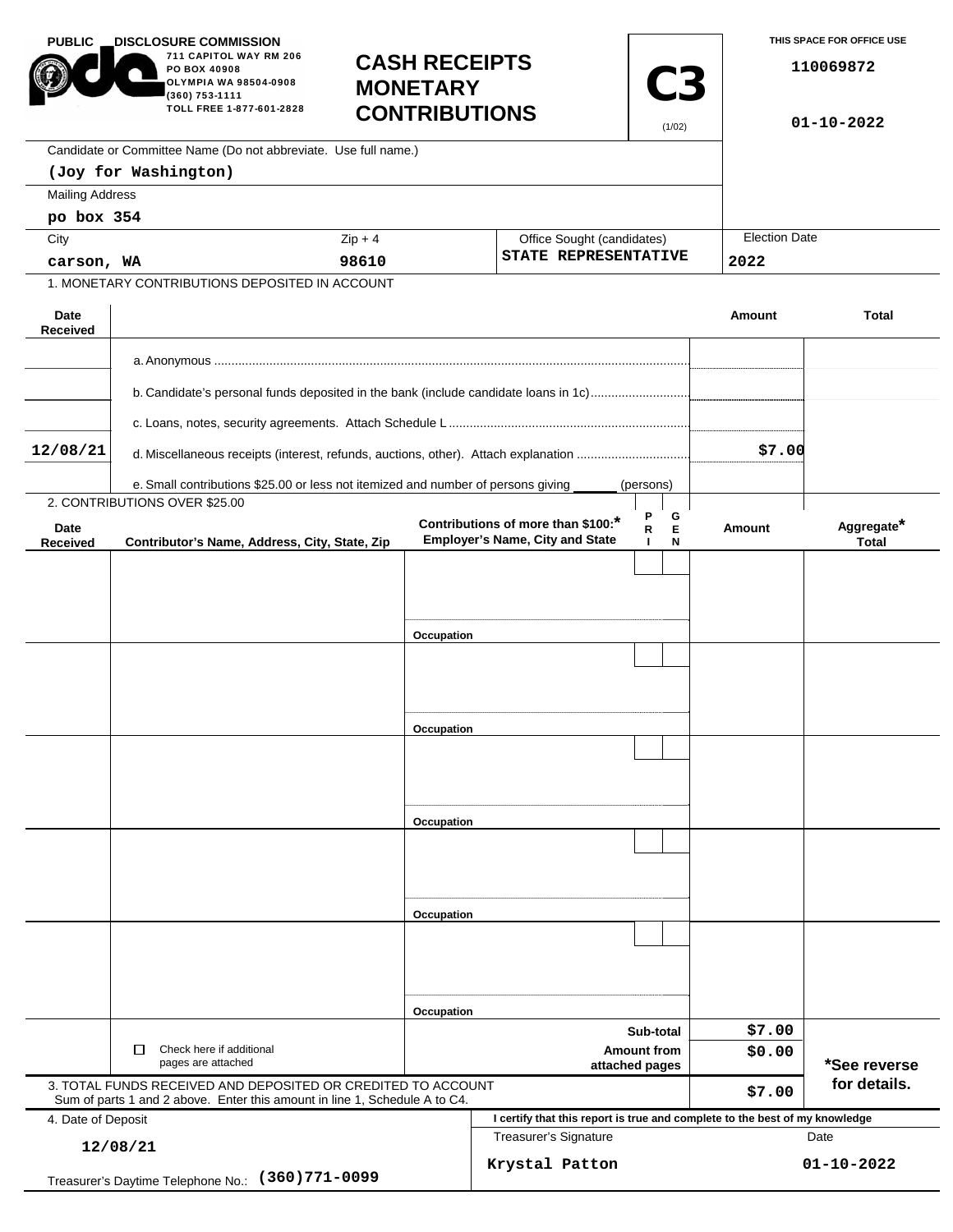| <b>PUBLIC</b><br><b>DISCLOSURE COMMISSION</b><br>711 CAPITOL WAY RM 206<br>PO BOX 40908<br>OLYMPIA WA 98504-0908<br>(360) 753-1111<br>TOLL FREE 1-877-601-2828 |                                                                                                                                            | <b>MONETARY</b> | <b>CASH RECEIPTS</b><br><b>CONTRIBUTIONS</b>                                |                                                    |        | THIS SPACE FOR OFFICE USE<br>110069872<br>$01 - 10 - 2022$ |  |
|----------------------------------------------------------------------------------------------------------------------------------------------------------------|--------------------------------------------------------------------------------------------------------------------------------------------|-----------------|-----------------------------------------------------------------------------|----------------------------------------------------|--------|------------------------------------------------------------|--|
|                                                                                                                                                                | Candidate or Committee Name (Do not abbreviate. Use full name.)                                                                            |                 |                                                                             |                                                    |        |                                                            |  |
|                                                                                                                                                                | (Joy for Washington)                                                                                                                       |                 |                                                                             |                                                    |        |                                                            |  |
| <b>Mailing Address</b>                                                                                                                                         |                                                                                                                                            |                 |                                                                             |                                                    |        |                                                            |  |
| po box 354                                                                                                                                                     |                                                                                                                                            |                 |                                                                             |                                                    |        |                                                            |  |
| City                                                                                                                                                           |                                                                                                                                            | $Zip + 4$       |                                                                             | Office Sought (candidates)<br>STATE REPRESENTATIVE |        | <b>Election Date</b><br>2022                               |  |
| carson, WA<br>1. MONETARY CONTRIBUTIONS DEPOSITED IN ACCOUNT                                                                                                   |                                                                                                                                            | 98610           |                                                                             |                                                    |        |                                                            |  |
|                                                                                                                                                                |                                                                                                                                            |                 |                                                                             |                                                    |        |                                                            |  |
| Date<br>Received                                                                                                                                               |                                                                                                                                            |                 |                                                                             |                                                    | Amount | <b>Total</b>                                               |  |
|                                                                                                                                                                |                                                                                                                                            |                 |                                                                             |                                                    |        |                                                            |  |
|                                                                                                                                                                | b. Candidate's personal funds deposited in the bank (include candidate loans in 1c)                                                        |                 |                                                                             |                                                    |        |                                                            |  |
|                                                                                                                                                                |                                                                                                                                            |                 |                                                                             |                                                    |        |                                                            |  |
| 12/08/21                                                                                                                                                       | d. Miscellaneous receipts (interest, refunds, auctions, other). Attach explanation                                                         |                 |                                                                             |                                                    |        |                                                            |  |
|                                                                                                                                                                |                                                                                                                                            |                 |                                                                             |                                                    |        |                                                            |  |
|                                                                                                                                                                | e. Small contributions \$25.00 or less not itemized and number of persons giving<br>2. CONTRIBUTIONS OVER \$25.00                          |                 |                                                                             | (persons)                                          |        |                                                            |  |
| Date                                                                                                                                                           |                                                                                                                                            |                 | Contributions of more than \$100:*                                          | Ρ<br>G<br>Е<br>R                                   | Amount | Aggregate*                                                 |  |
| <b>Received</b>                                                                                                                                                | Contributor's Name, Address, City, State, Zip                                                                                              |                 | <b>Employer's Name, City and State</b>                                      | N                                                  |        | <b>Total</b>                                               |  |
|                                                                                                                                                                |                                                                                                                                            |                 |                                                                             |                                                    |        |                                                            |  |
|                                                                                                                                                                |                                                                                                                                            |                 |                                                                             |                                                    |        |                                                            |  |
|                                                                                                                                                                |                                                                                                                                            |                 |                                                                             |                                                    |        |                                                            |  |
|                                                                                                                                                                |                                                                                                                                            | Occupation      |                                                                             |                                                    |        |                                                            |  |
|                                                                                                                                                                |                                                                                                                                            |                 |                                                                             |                                                    |        |                                                            |  |
|                                                                                                                                                                |                                                                                                                                            |                 |                                                                             |                                                    |        |                                                            |  |
|                                                                                                                                                                |                                                                                                                                            |                 |                                                                             |                                                    |        |                                                            |  |
|                                                                                                                                                                |                                                                                                                                            | Occupation      |                                                                             |                                                    |        |                                                            |  |
|                                                                                                                                                                |                                                                                                                                            |                 |                                                                             |                                                    |        |                                                            |  |
|                                                                                                                                                                |                                                                                                                                            |                 |                                                                             |                                                    |        |                                                            |  |
|                                                                                                                                                                |                                                                                                                                            | Occupation      |                                                                             |                                                    |        |                                                            |  |
|                                                                                                                                                                |                                                                                                                                            |                 |                                                                             |                                                    |        |                                                            |  |
|                                                                                                                                                                |                                                                                                                                            |                 |                                                                             |                                                    |        |                                                            |  |
|                                                                                                                                                                |                                                                                                                                            |                 |                                                                             |                                                    |        |                                                            |  |
|                                                                                                                                                                |                                                                                                                                            | Occupation      |                                                                             |                                                    |        |                                                            |  |
|                                                                                                                                                                |                                                                                                                                            |                 |                                                                             |                                                    |        |                                                            |  |
|                                                                                                                                                                |                                                                                                                                            |                 |                                                                             |                                                    |        |                                                            |  |
|                                                                                                                                                                |                                                                                                                                            |                 |                                                                             |                                                    |        |                                                            |  |
|                                                                                                                                                                |                                                                                                                                            | Occupation      |                                                                             |                                                    |        |                                                            |  |
|                                                                                                                                                                |                                                                                                                                            |                 |                                                                             | Sub-total                                          |        | *See reverse                                               |  |
| Check here if additional<br>□<br>pages are attached                                                                                                            |                                                                                                                                            |                 | <b>Amount from</b><br>attached pages                                        |                                                    | \$0.00 |                                                            |  |
|                                                                                                                                                                | 3. TOTAL FUNDS RECEIVED AND DEPOSITED OR CREDITED TO ACCOUNT<br>Sum of parts 1 and 2 above. Enter this amount in line 1, Schedule A to C4. |                 |                                                                             |                                                    | \$7.00 | for details.                                               |  |
| 4. Date of Deposit                                                                                                                                             |                                                                                                                                            |                 | I certify that this report is true and complete to the best of my knowledge |                                                    |        |                                                            |  |
| 12/08/21                                                                                                                                                       |                                                                                                                                            |                 | Treasurer's Signature                                                       |                                                    | Date   |                                                            |  |
| $(360)771 - 0099$<br>Treasurer's Daytime Telephone No.:                                                                                                        |                                                                                                                                            |                 | Krystal Patton                                                              |                                                    |        | $01 - 10 - 2022$                                           |  |
|                                                                                                                                                                |                                                                                                                                            |                 |                                                                             |                                                    |        |                                                            |  |